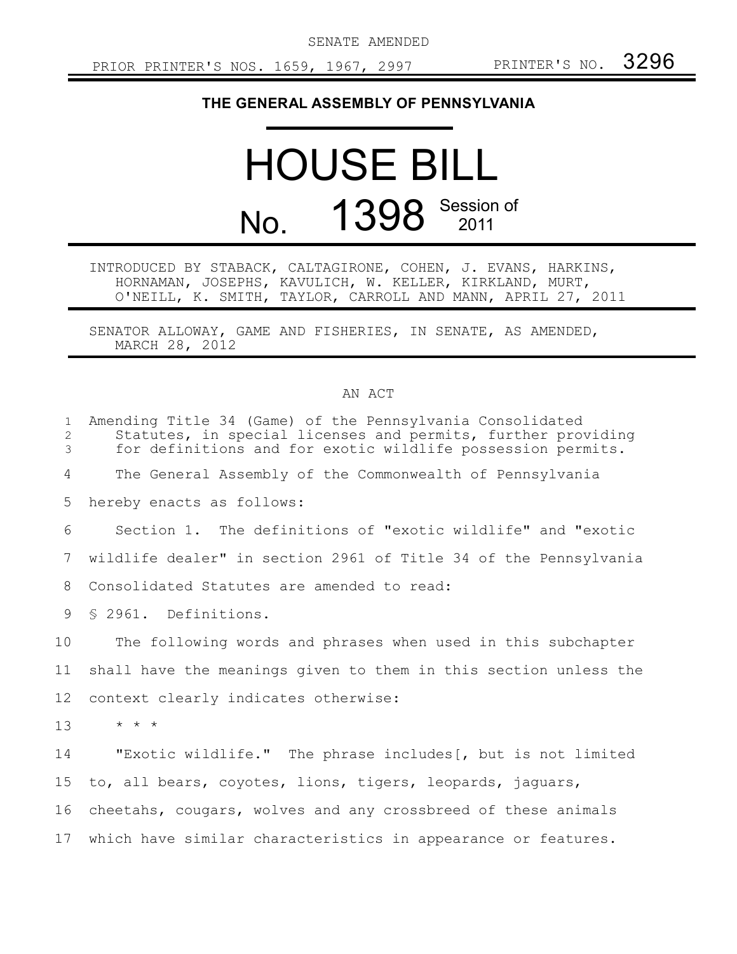SENATE AMENDED

## **THE GENERAL ASSEMBLY OF PENNSYLVANIA**

## HOUSE BILL No. 1398 Session of

INTRODUCED BY STABACK, CALTAGIRONE, COHEN, J. EVANS, HARKINS, HORNAMAN, JOSEPHS, KAVULICH, W. KELLER, KIRKLAND, MURT, O'NEILL, K. SMITH, TAYLOR, CARROLL AND MANN, APRIL 27, 2011

SENATOR ALLOWAY, GAME AND FISHERIES, IN SENATE, AS AMENDED, MARCH 28, 2012

## AN ACT

| $\mathbf 1$<br>2<br>3 | Amending Title 34 (Game) of the Pennsylvania Consolidated<br>Statutes, in special licenses and permits, further providing<br>for definitions and for exotic wildlife possession permits. |
|-----------------------|------------------------------------------------------------------------------------------------------------------------------------------------------------------------------------------|
| 4                     | The General Assembly of the Commonwealth of Pennsylvania                                                                                                                                 |
| 5                     | hereby enacts as follows:                                                                                                                                                                |
| 6                     | Section 1. The definitions of "exotic wildlife" and "exotic                                                                                                                              |
| 7                     | wildlife dealer" in section 2961 of Title 34 of the Pennsylvania                                                                                                                         |
| 8                     | Consolidated Statutes are amended to read:                                                                                                                                               |
| 9                     | § 2961. Definitions.                                                                                                                                                                     |
| 10                    | The following words and phrases when used in this subchapter                                                                                                                             |
| 11                    | shall have the meanings given to them in this section unless the                                                                                                                         |
| 12                    | context clearly indicates otherwise:                                                                                                                                                     |
| 13                    | $\star$ $\star$ $\star$                                                                                                                                                                  |
| 14                    | "Exotic wildlife." The phrase includes [, but is not limited                                                                                                                             |
| 15                    | to, all bears, coyotes, lions, tigers, leopards, jaguars,                                                                                                                                |
| 16                    | cheetahs, cougars, wolves and any crossbreed of these animals                                                                                                                            |
| 17                    | which have similar characteristics in appearance or features.                                                                                                                            |
|                       |                                                                                                                                                                                          |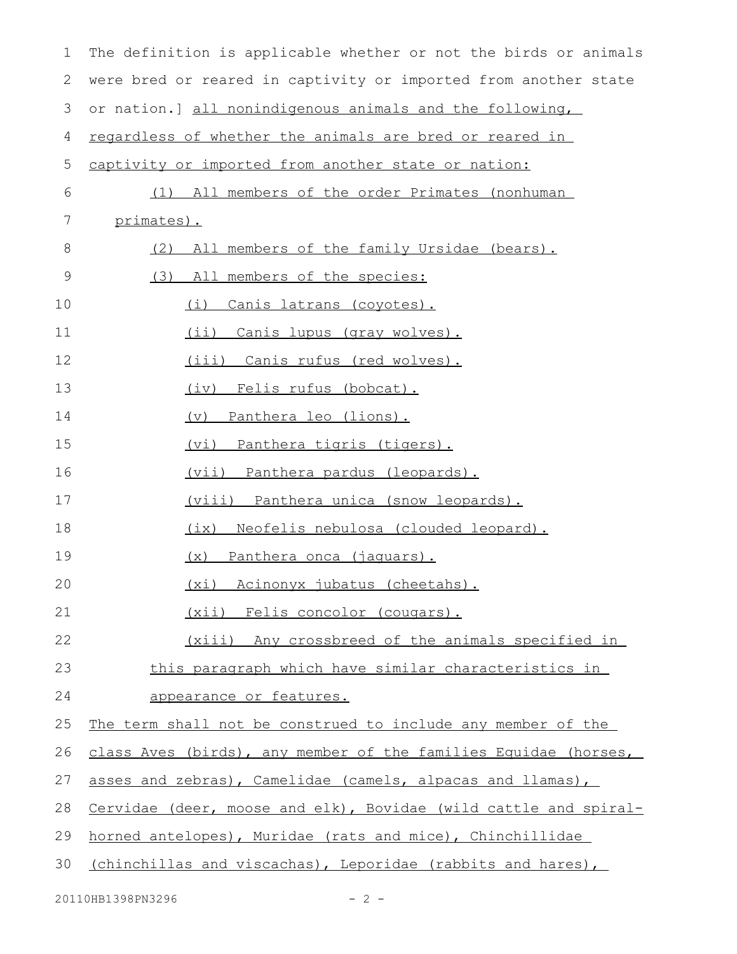| $\mathbf 1$ | The definition is applicable whether or not the birds or animals |
|-------------|------------------------------------------------------------------|
| 2           | were bred or reared in captivity or imported from another state  |
| 3           | or nation.] all nonindigenous animals and the following,         |
| 4           | regardless of whether the animals are bred or reared in          |
| 5           | captivity or imported from another state or nation:              |
| 6           | (1) All members of the order Primates (nonhuman                  |
| 7           | primates).                                                       |
| 8           | All members of the family Ursidae (bears).<br>(2)                |
| 9           | (3)<br>All members of the species:                               |
| 10          | Canis latrans (coyotes).<br>(i)                                  |
| 11          | (ii) Canis lupus (gray wolves).                                  |
| 12          | (iii) Canis rufus (red wolves).                                  |
| 13          | (iv) Felis rufus (bobcat).                                       |
| 14          | (v) Panthera leo (lions).                                        |
| 15          | <u>(vi) Panthera tigris (tigers).</u>                            |
| 16          | <u>(vii) Panthera pardus (leopards).</u>                         |
| 17          | <u>(viii) Panthera unica (snow leopards).</u>                    |
| 18          | (ix) Neofelis nebulosa (clouded leopard).                        |
| 19          | (x) Panthera onca (jaquars).                                     |
| 20          | (xi) Acinonyx jubatus (cheetahs).                                |
| 21          | (xii) Felis concolor (cougars).                                  |
| 22          | (xiii) Any crossbreed of the animals specified in                |
| 23          | this paragraph which have similar characteristics in             |
| 24          | appearance or features.                                          |
| 25          | The term shall not be construed to include any member of the     |
| 26          | class Aves (birds), any member of the families Equidae (horses,  |
| 27          | asses and zebras), Camelidae (camels, alpacas and llamas),       |
| 28          | Cervidae (deer, moose and elk), Bovidae (wild cattle and spiral- |
| 29          | horned antelopes), Muridae (rats and mice), Chinchillidae        |
| 30          | (chinchillas and viscachas), Leporidae (rabbits and hares),      |
|             |                                                                  |

20110HB1398PN3296 - 2 -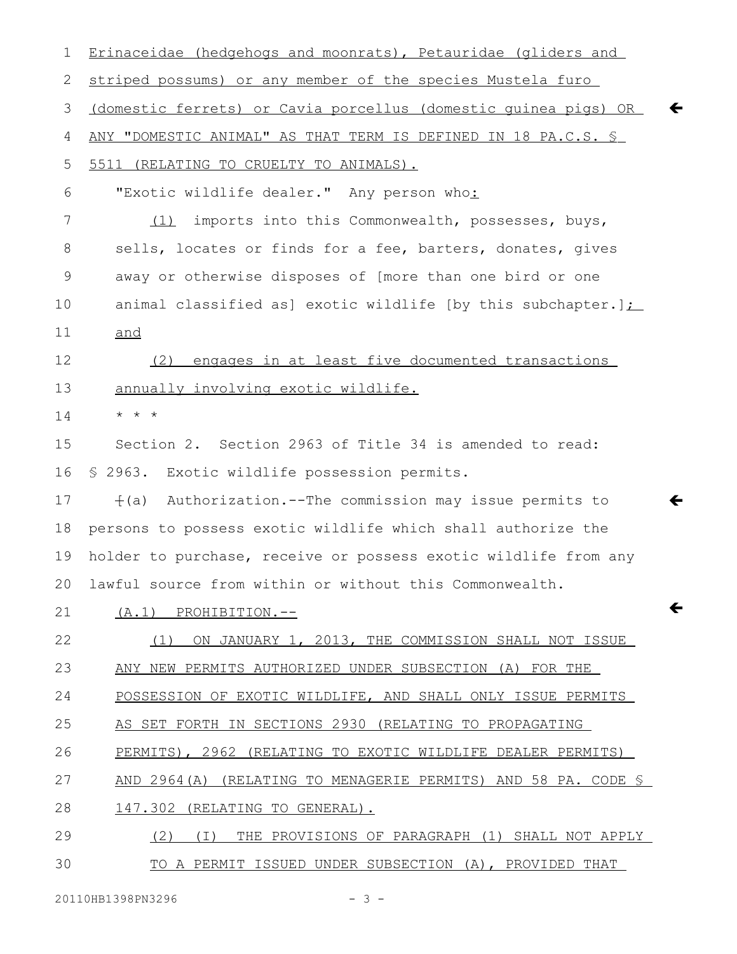| 1  | Erinaceidae (hedgehogs and moonrats), Petauridae (gliders and                   |
|----|---------------------------------------------------------------------------------|
| 2  | striped possums) or any member of the species Mustela furo                      |
| 3  | (domestic ferrets) or Cavia porcellus (domestic quinea pigs) OR<br>$\leftarrow$ |
| 4  | ANY "DOMESTIC ANIMAL" AS THAT TERM IS DEFINED IN 18 PA.C.S. S                   |
| 5  | 5511 (RELATING TO CRUELTY TO ANIMALS).                                          |
| 6  | "Exotic wildlife dealer." Any person who:                                       |
| 7  | (1) imports into this Commonwealth, possesses, buys,                            |
| 8  | sells, locates or finds for a fee, barters, donates, gives                      |
| 9  | away or otherwise disposes of [more than one bird or one                        |
| 10 | animal classified as] exotic wildlife [by this subchapter.] $\sum$              |
| 11 | and                                                                             |
| 12 | engages in at least five documented transactions<br>(2)                         |
| 13 | annually involving exotic wildlife.                                             |
| 14 | $\star$ $\star$ $\star$                                                         |
| 15 | Section 2. Section 2963 of Title 34 is amended to read:                         |
| 16 | § 2963. Exotic wildlife possession permits.                                     |
| 17 | f(a) Authorization.--The commission may issue permits to<br>←                   |
| 18 | persons to possess exotic wildlife which shall authorize the                    |
| 19 | holder to purchase, receive or possess exotic wildlife from any                 |
|    | 20 lawful source from within or without this Commonwealth.                      |
| 21 | $\leftarrow$<br>$(A.1)$ PROHIBITION.--                                          |
| 22 | ON JANUARY 1, 2013, THE COMMISSION SHALL NOT ISSUE<br>(1)                       |
| 23 | ANY NEW PERMITS AUTHORIZED UNDER SUBSECTION (A) FOR THE                         |
| 24 | POSSESSION OF EXOTIC WILDLIFE, AND SHALL ONLY ISSUE PERMITS                     |
| 25 | AS SET FORTH IN SECTIONS 2930 (RELATING TO PROPAGATING                          |
| 26 | PERMITS), 2962 (RELATING TO EXOTIC WILDLIFE DEALER PERMITS)                     |
| 27 | AND 2964(A) (RELATING TO MENAGERIE PERMITS) AND 58 PA. CODE $\mathcal S$        |
| 28 | 147.302 (RELATING TO GENERAL).                                                  |
| 29 | (2)<br>THE PROVISIONS OF PARAGRAPH (1) SHALL NOT APPLY<br>( I )                 |
| 30 | TO A PERMIT ISSUED UNDER SUBSECTION (A), PROVIDED THAT                          |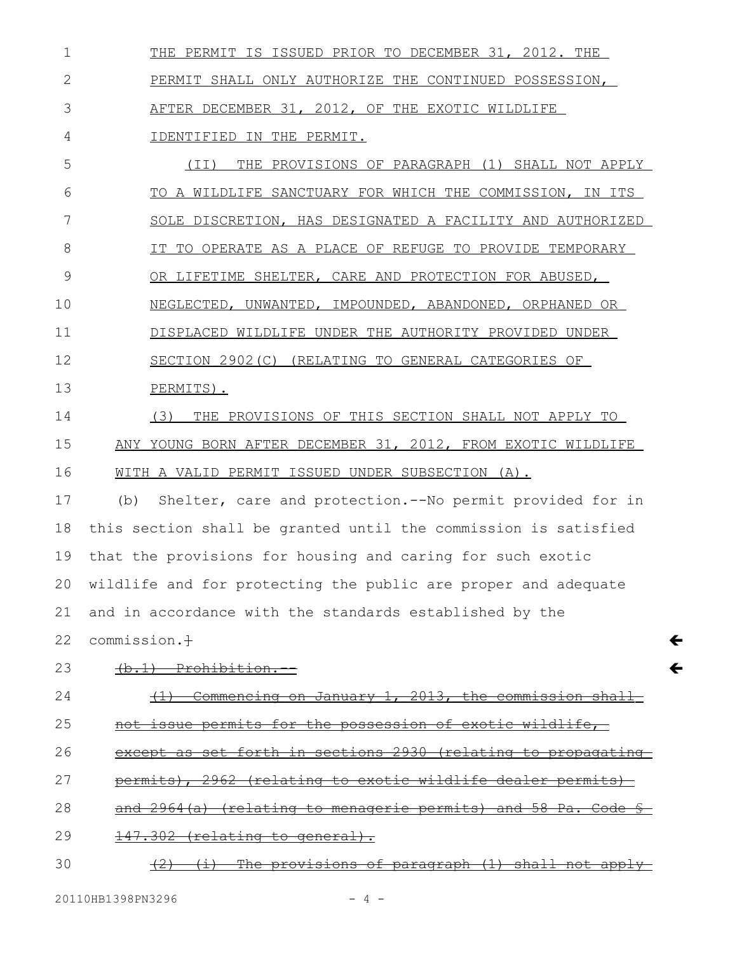THE PERMIT IS ISSUED PRIOR TO DECEMBER 31, 2012. THE PERMIT SHALL ONLY AUTHORIZE THE CONTINUED POSSESSION, AFTER DECEMBER 31, 2012, OF THE EXOTIC WILDLIFE IDENTIFIED IN THE PERMIT. 1 2 3 4

(II) THE PROVISIONS OF PARAGRAPH (1) SHALL NOT APPLY TO A WILDLIFE SANCTUARY FOR WHICH THE COMMISSION, IN ITS SOLE DISCRETION, HAS DESIGNATED A FACILITY AND AUTHORIZED IT TO OPERATE AS A PLACE OF REFUGE TO PROVIDE TEMPORARY OR LIFETIME SHELTER, CARE AND PROTECTION FOR ABUSED, NEGLECTED, UNWANTED, IMPOUNDED, ABANDONED, ORPHANED OR DISPLACED WILDLIFE UNDER THE AUTHORITY PROVIDED UNDER SECTION 2902(C) (RELATING TO GENERAL CATEGORIES OF PERMITS). (3) THE PROVISIONS OF THIS SECTION SHALL NOT APPLY TO ANY YOUNG BORN AFTER DECEMBER 31, 2012, FROM EXOTIC WILDLIFE WITH A VALID PERMIT ISSUED UNDER SUBSECTION (A). (b) Shelter, care and protection.--No permit provided for in this section shall be granted until the commission is satisfied that the provisions for housing and caring for such exotic wildlife and for protecting the public are proper and adequate and in accordance with the standards established by the 5 6 7 8 9 10 11 12 13 14 15 16 17 18 19 20 21

commission.<sup>+</sup> 22

(b.1) Prohibition. 23

(1) Commencing on January 1, 2013, the commission 24

 $\leftarrow$ 

 $\leftarrow$ 

not issue permits for the possession of exotic wildlife, 25

except as set forth in sections 2930 (relating to propagating 26

- permits), 2962 (relating to exotic wildlife dealer permits) 27
- and  $2964(a)$  (relating to menagerie permits) and 58 Pa. 28
- 147.302 (relating to general). 29
- $(2)$   $(i)$  The provisions of paragraph  $(1)$  shall not apply 30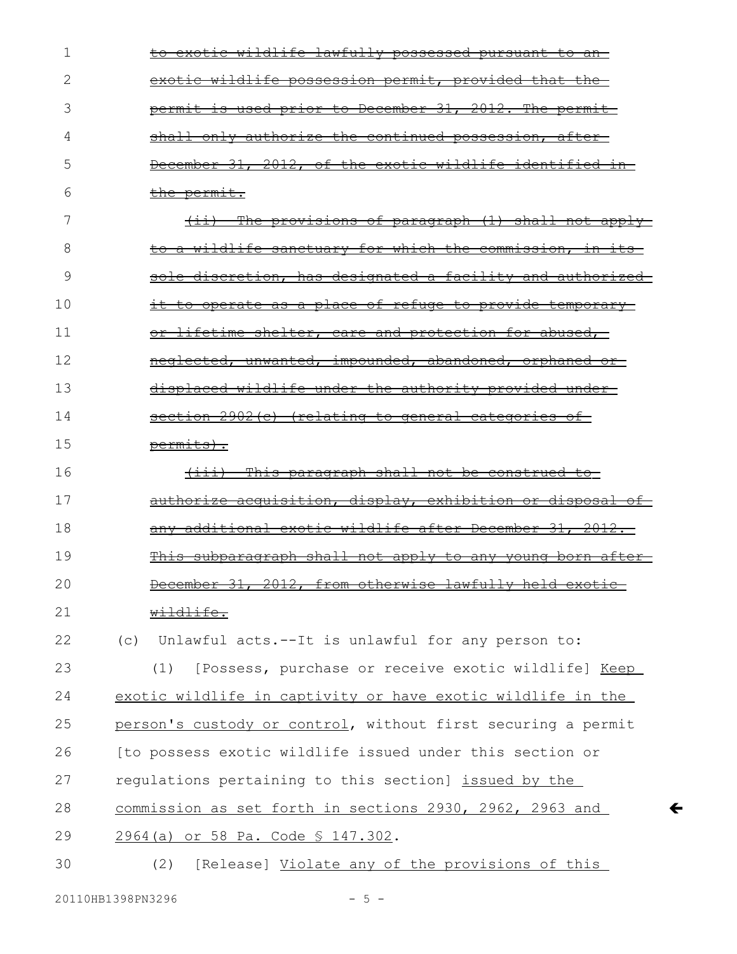| 1  | to exotic wildlife lawfully possessed pursuant to an-        |
|----|--------------------------------------------------------------|
| 2  | exotic wildlife possession permit, provided that the         |
| 3  | permit is used prior to December 31, 2012. The permit-       |
| 4  | shall only authorize the continued possession, after         |
| 5  | December 31, 2012, of the exotic wildlife identified in-     |
| 6  | the permit.                                                  |
| 7  | (ii) The provisions of paragraph (1) shall not apply         |
| 8  | to a wildlife sanctuary for which the commission, in its-    |
| 9  | sole discretion, has designated a facility and authorized    |
| 10 | it to operate as a place of refuge to provide temporary      |
| 11 | or lifetime shelter, care and protection for abused,         |
| 12 | neglected, unwanted, impounded, abandoned, orphaned or       |
| 13 | displaced wildlife under the authority provided under-       |
| 14 | section 2902(c) (relating to general categories of           |
| 15 | permits).                                                    |
| 16 | (iii) This paragraph shall not be construed to               |
| 17 | authorize acquisition, display, exhibition or disposal of    |
| 18 | any additional exotic wildlife after December 31, 2012.      |
| 19 | This subparagraph shall not apply to any young born after-   |
| 20 | December 31, 2012, from otherwise lawfully held exotic       |
| 21 | wildlife.                                                    |
| 22 | Unlawful acts.--It is unlawful for any person to:<br>(C)     |
| 23 | [Possess, purchase or receive exotic wildlife] Keep<br>(1)   |
| 24 | exotic wildlife in captivity or have exotic wildlife in the  |
| 25 | person's custody or control, without first securing a permit |
| 26 | [to possess exotic wildlife issued under this section or     |
| 27 | regulations pertaining to this section] issued by the        |
| 28 | commission as set forth in sections 2930, 2962, 2963 and     |
| 29 | 2964 (a) or 58 Pa. Code § 147.302.                           |
| 30 | [Release] Violate any of the provisions of this<br>(2)       |

 $\leftarrow$